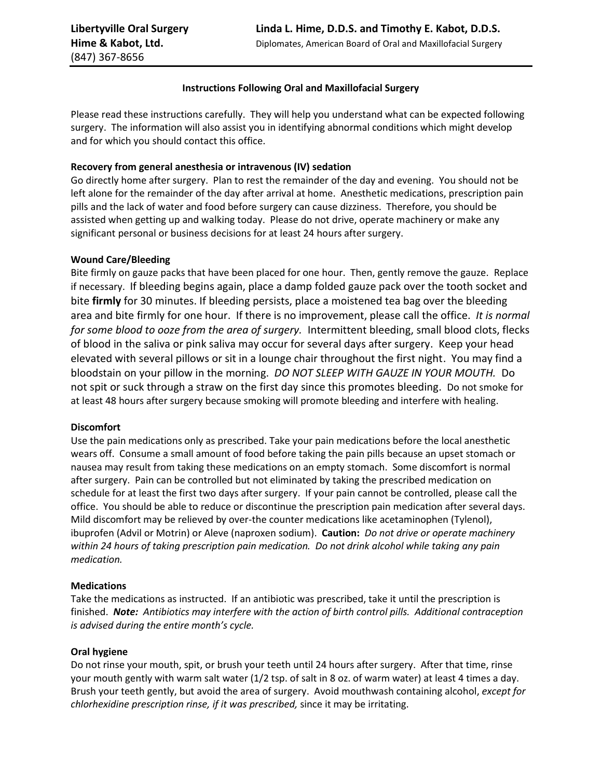### **Instructions Following Oral and Maxillofacial Surgery**

Please read these instructions carefully. They will help you understand what can be expected following surgery. The information will also assist you in identifying abnormal conditions which might develop and for which you should contact this office.

### **Recovery from general anesthesia or intravenous (IV) sedation**

Go directly home after surgery. Plan to rest the remainder of the day and evening. You should not be left alone for the remainder of the day after arrival at home. Anesthetic medications, prescription pain pills and the lack of water and food before surgery can cause dizziness. Therefore, you should be assisted when getting up and walking today. Please do not drive, operate machinery or make any significant personal or business decisions for at least 24 hours after surgery.

### **Wound Care/Bleeding**

Bite firmly on gauze packs that have been placed for one hour. Then, gently remove the gauze. Replace if necessary. If bleeding begins again, place a damp folded gauze pack over the tooth socket and bite **firmly** for 30 minutes. If bleeding persists, place a moistened tea bag over the bleeding area and bite firmly for one hour. If there is no improvement, please call the office. *It is normal for some blood to ooze from the area of surgery.* Intermittent bleeding, small blood clots, flecks of blood in the saliva or pink saliva may occur for several days after surgery. Keep your head elevated with several pillows or sit in a lounge chair throughout the first night. You may find a bloodstain on your pillow in the morning. *DO NOT SLEEP WITH GAUZE IN YOUR MOUTH.* Do not spit or suck through a straw on the first day since this promotes bleeding. Do not smoke for at least 48 hours after surgery because smoking will promote bleeding and interfere with healing.

### **Discomfort**

Use the pain medications only as prescribed. Take your pain medications before the local anesthetic wears off. Consume a small amount of food before taking the pain pills because an upset stomach or nausea may result from taking these medications on an empty stomach. Some discomfort is normal after surgery. Pain can be controlled but not eliminated by taking the prescribed medication on schedule for at least the first two days after surgery. If your pain cannot be controlled, please call the office. You should be able to reduce or discontinue the prescription pain medication after several days. Mild discomfort may be relieved by over-the counter medications like acetaminophen (Tylenol), ibuprofen (Advil or Motrin) or Aleve (naproxen sodium). **Caution:** *Do not drive or operate machinery within 24 hours of taking prescription pain medication. Do not drink alcohol while taking any pain medication.*

### **Medications**

Take the medications as instructed. If an antibiotic was prescribed, take it until the prescription is finished. *Note: Antibiotics may interfere with the action of birth control pills. Additional contraception is advised during the entire month's cycle.*

### **Oral hygiene**

Do not rinse your mouth, spit, or brush your teeth until 24 hours after surgery. After that time, rinse your mouth gently with warm salt water (1/2 tsp. of salt in 8 oz. of warm water) at least 4 times a day. Brush your teeth gently, but avoid the area of surgery. Avoid mouthwash containing alcohol, *except for chlorhexidine prescription rinse, if it was prescribed,* since it may be irritating.